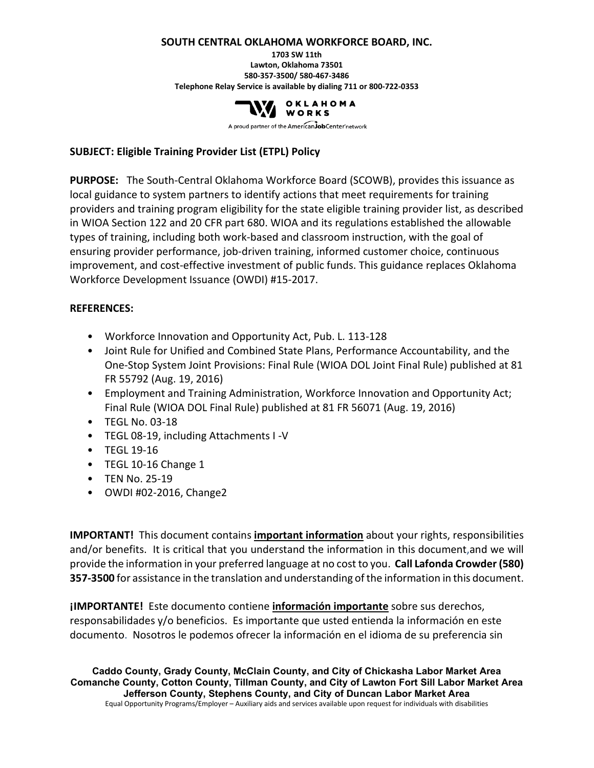#### **SOUTH CENTRAL OKLAHOMA WORKFORCE BOARD, INC.**

**1703 SW 11th Lawton, Oklahoma 73501 580-357-3500/ 580-467-3486 Telephone Relay Service is available by dialing 711 or 800-722-0353**



A proud partner of the AmericanJobCenter network

#### **SUBJECT: Eligible Training Provider List (ETPL) Policy**

**PURPOSE:** The South-Central Oklahoma Workforce Board (SCOWB), provides this issuance as local guidance to system partners to identify actions that meet requirements for training providers and training program eligibility for the state eligible training provider list, as described in WIOA Section 122 and 20 CFR part 680. WIOA and its regulations established the allowable types of training, including both work-based and classroom instruction, with the goal of ensuring provider performance, job-driven training, informed customer choice, continuous improvement, and cost-effective investment of public funds. This guidance replaces Oklahoma Workforce Development Issuance (OWDI) #15-2017.

#### **REFERENCES:**

- Workforce Innovation and Opportunity Act, Pub. L. 113-128
- Joint Rule for Unified and Combined State Plans, Performance Accountability, and the One-Stop System Joint Provisions: Final Rule (WIOA DOL Joint Final Rule) published at 81 FR 55792 (Aug. 19, 2016)
- Employment and Training Administration, Workforce Innovation and Opportunity Act; Final Rule (WIOA DOL Final Rule) published at 81 FR 56071 (Aug. 19, 2016)
- TEGL No. 03-18
- TEGL 08-19, including Attachments I -V
- TEGL 19-16
- TEGL 10-16 Change 1
- TEN No. 25-19
- OWDI #02-2016, Change2

**IMPORTANT!** This document contains **important information** about your rights, responsibilities and/or benefits. It is critical that you understand the information in this document,and we will provide the information in your preferred language at no cost to you. **Call Lafonda Crowder (580) 357-3500** for assistance in the translation and understanding of the information in this document.

**¡IMPORTANTE!** Este documento contiene **información importante** sobre sus derechos, responsabilidades y/o beneficios. Es importante que usted entienda la información en este documento. Nosotros le podemos ofrecer la información en el idioma de su preferencia sin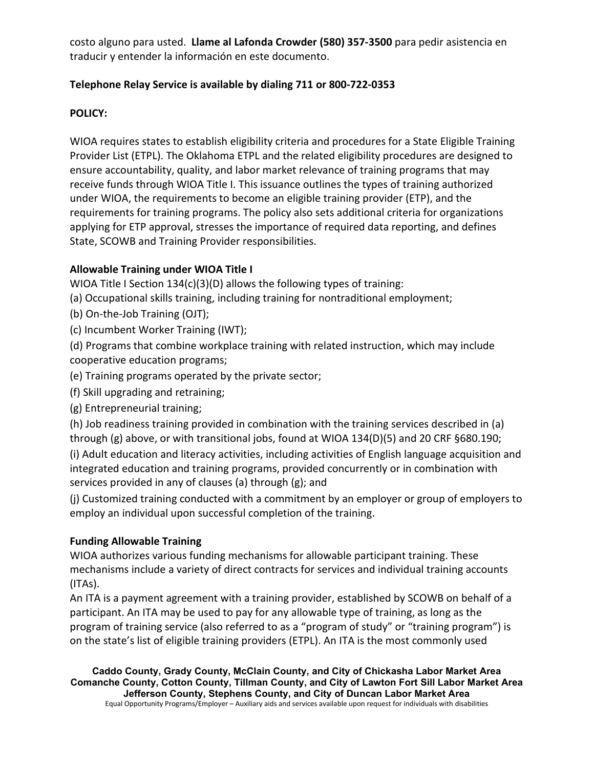costo alguno para usted. **Llame al Lafonda Crowder (580) 357-3500** para pedir asistencia en traducir y entender la información en este documento.

# **Telephone Relay Service is available by dialing 711 or 800-722-0353**

#### **POLICY:**

WIOA requires states to establish eligibility criteria and procedures for a State Eligible Training Provider List (ETPL). The Oklahoma ETPL and the related eligibility procedures are designed to ensure accountability, quality, and labor market relevance of training programs that may receive funds through WIOA Title I. This issuance outlines the types of training authorized under WIOA, the requirements to become an eligible training provider (ETP), and the requirements for training programs. The policy also sets additional criteria for organizations applying for ETP approval, stresses the importance of required data reporting, and defines State, SCOWB and Training Provider responsibilities.

### **Allowable Training under WIOA Title I**

WIOA Title I Section 134(c)(3)(D) allows the following types of training:

(a) Occupational skills training, including training for nontraditional employment;

(b) On-the-Job Training (OJT);

(c) Incumbent Worker Training (IWT);

(d) Programs that combine workplace training with related instruction, which may include cooperative education programs;

(e) Training programs operated by the private sector;

(f) Skill upgrading and retraining;

(g) Entrepreneurial training;

(h) Job readiness training provided in combination with the training services described in (a) through (g) above, or with transitional jobs, found at WIOA 134(D)(5) and 20 CRF §680.190;

(i) Adult education and literacy activities, including activities of English language acquisition and integrated education and training programs, provided concurrently or in combination with services provided in any of clauses (a) through (g); and

(j) Customized training conducted with a commitment by an employer or group of employers to employ an individual upon successful completion of the training.

### **Funding Allowable Training**

WIOA authorizes various funding mechanisms for allowable participant training. These mechanisms include a variety of direct contracts for services and individual training accounts (ITAs).

An ITA is a payment agreement with a training provider, established by SCOWB on behalf of a participant. An ITA may be used to pay for any allowable type of training, as long as the program of training service (also referred to as a "program of study" or "training program") is on the state's list of eligible training providers (ETPL). An ITA is the most commonly used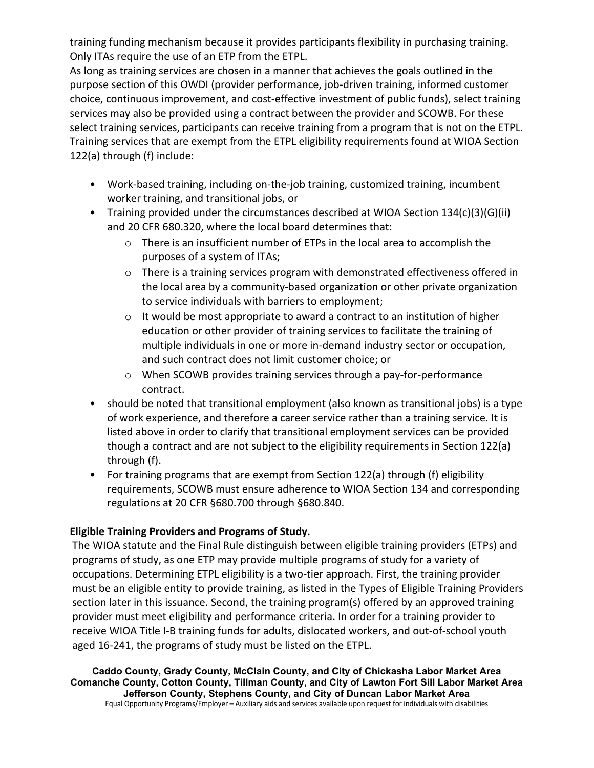training funding mechanism because it provides participants flexibility in purchasing training. Only ITAs require the use of an ETP from the ETPL.

As long as training services are chosen in a manner that achieves the goals outlined in the purpose section of this OWDI (provider performance, job-driven training, informed customer choice, continuous improvement, and cost-effective investment of public funds), select training services may also be provided using a contract between the provider and SCOWB. For these select training services, participants can receive training from a program that is not on the ETPL. Training services that are exempt from the ETPL eligibility requirements found at WIOA Section 122(a) through (f) include:

- Work-based training, including on-the-job training, customized training, incumbent worker training, and transitional jobs, or
- Training provided under the circumstances described at WIOA Section 134(c)(3)(G)(ii) and 20 CFR 680.320, where the local board determines that:
	- $\circ$  There is an insufficient number of ETPs in the local area to accomplish the purposes of a system of ITAs;
	- o There is a training services program with demonstrated effectiveness offered in the local area by a community-based organization or other private organization to service individuals with barriers to employment;
	- $\circ$  It would be most appropriate to award a contract to an institution of higher education or other provider of training services to facilitate the training of multiple individuals in one or more in-demand industry sector or occupation, and such contract does not limit customer choice; or
	- o When SCOWB provides training services through a pay-for-performance contract.
- should be noted that transitional employment (also known as transitional jobs) is a type of work experience, and therefore a career service rather than a training service. It is listed above in order to clarify that transitional employment services can be provided though a contract and are not subject to the eligibility requirements in Section 122(a) through (f).
- For training programs that are exempt from Section 122(a) through (f) eligibility requirements, SCOWB must ensure adherence to WIOA Section 134 and corresponding regulations at 20 CFR §680.700 through §680.840.

### **Eligible Training Providers and Programs of Study.**

The WIOA statute and the Final Rule distinguish between eligible training providers (ETPs) and programs of study, as one ETP may provide multiple programs of study for a variety of occupations. Determining ETPL eligibility is a two-tier approach. First, the training provider must be an eligible entity to provide training, as listed in the Types of Eligible Training Providers section later in this issuance. Second, the training program(s) offered by an approved training provider must meet eligibility and performance criteria. In order for a training provider to receive WIOA Title I-B training funds for adults, dislocated workers, and out-of-school youth aged 16-241, the programs of study must be listed on the ETPL.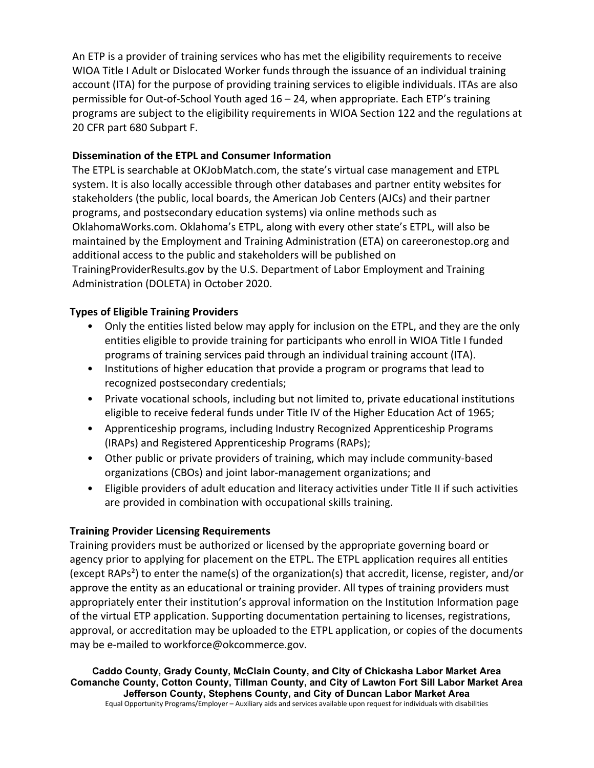An ETP is a provider of training services who has met the eligibility requirements to receive WIOA Title I Adult or Dislocated Worker funds through the issuance of an individual training account (ITA) for the purpose of providing training services to eligible individuals. ITAs are also permissible for Out-of-School Youth aged 16 – 24, when appropriate. Each ETP's training programs are subject to the eligibility requirements in WIOA Section 122 and the regulations at 20 CFR part 680 Subpart F.

### **Dissemination of the ETPL and Consumer Information**

The ETPL is searchable at OKJobMatch.com, the state's virtual case management and ETPL system. It is also locally accessible through other databases and partner entity websites for stakeholders (the public, local boards, the American Job Centers (AJCs) and their partner programs, and postsecondary education systems) via online methods such as OklahomaWorks.com. Oklahoma's ETPL, along with every other state's ETPL, will also be maintained by the Employment and Training Administration (ETA) on careeronestop.org and additional access to the public and stakeholders will be published on TrainingProviderResults.gov by the U.S. Department of Labor Employment and Training Administration (DOLETA) in October 2020.

#### **Types of Eligible Training Providers**

- Only the entities listed below may apply for inclusion on the ETPL, and they are the only entities eligible to provide training for participants who enroll in WIOA Title I funded programs of training services paid through an individual training account (ITA).
- Institutions of higher education that provide a program or programs that lead to recognized postsecondary credentials;
- Private vocational schools, including but not limited to, private educational institutions eligible to receive federal funds under Title IV of the Higher Education Act of 1965;
- Apprenticeship programs, including Industry Recognized Apprenticeship Programs (IRAPs) and Registered Apprenticeship Programs (RAPs);
- Other public or private providers of training, which may include community-based organizations (CBOs) and joint labor-management organizations; and
- Eligible providers of adult education and literacy activities under Title II if such activities are provided in combination with occupational skills training.

### **Training Provider Licensing Requirements**

Training providers must be authorized or licensed by the appropriate governing board or agency prior to applying for placement on the ETPL. The ETPL application requires all entities (except RAPs²) to enter the name(s) of the organization(s) that accredit, license, register, and/or approve the entity as an educational or training provider. All types of training providers must appropriately enter their institution's approval information on the Institution Information page of the virtual ETP application. Supporting documentation pertaining to licenses, registrations, approval, or accreditation may be uploaded to the ETPL application, or copies of the documents may be e-mailed to workforce@okcommerce.gov.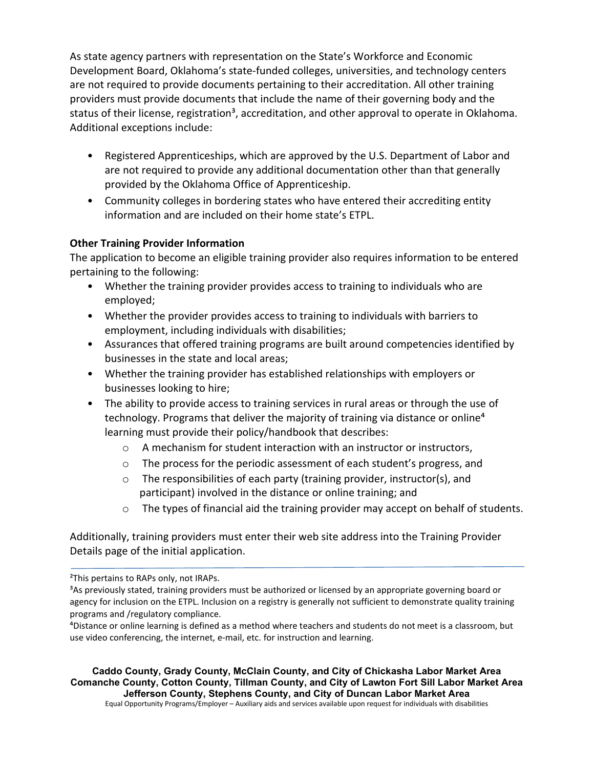As state agency partners with representation on the State's Workforce and Economic Development Board, Oklahoma's state-funded colleges, universities, and technology centers are not required to provide documents pertaining to their accreditation. All other training providers must provide documents that include the name of their governing body and the status of their license, registration<sup>3</sup>, accreditation, and other approval to operate in Oklahoma. Additional exceptions include:

- Registered Apprenticeships, which are approved by the U.S. Department of Labor and are not required to provide any additional documentation other than that generally provided by the Oklahoma Office of Apprenticeship.
- Community colleges in bordering states who have entered their accrediting entity information and are included on their home state's ETPL.

### **Other Training Provider Information**

The application to become an eligible training provider also requires information to be entered pertaining to the following:

- Whether the training provider provides access to training to individuals who are employed;
- Whether the provider provides access to training to individuals with barriers to employment, including individuals with disabilities;
- Assurances that offered training programs are built around competencies identified by businesses in the state and local areas;
- Whether the training provider has established relationships with employers or businesses looking to hire;
- The ability to provide access to training services in rural areas or through the use of technology. Programs that deliver the majority of training via distance or online<sup>4</sup> learning must provide their policy/handbook that describes:
	- o A mechanism for student interaction with an instructor or instructors,
	- o The process for the periodic assessment of each student's progress, and
	- o The responsibilities of each party (training provider, instructor(s), and participant) involved in the distance or online training; and
	- $\circ$  The types of financial aid the training provider may accept on behalf of students.

Additionally, training providers must enter their web site address into the Training Provider Details page of the initial application.

**Caddo County, Grady County, McClain County, and City of Chickasha Labor Market Area Comanche County, Cotton County, Tillman County, and City of Lawton Fort Sill Labor Market Area Jefferson County, Stephens County, and City of Duncan Labor Market Area**

²This pertains to RAPs only, not IRAPs.

<sup>&</sup>lt;sup>3</sup>As previously stated, training providers must be authorized or licensed by an appropriate governing board or agency for inclusion on the ETPL. Inclusion on a registry is generally not sufficient to demonstrate quality training programs and /regulatory compliance.

⁴Distance or online learning is defined as a method where teachers and students do not meet is a classroom, but use video conferencing, the internet, e-mail, etc. for instruction and learning.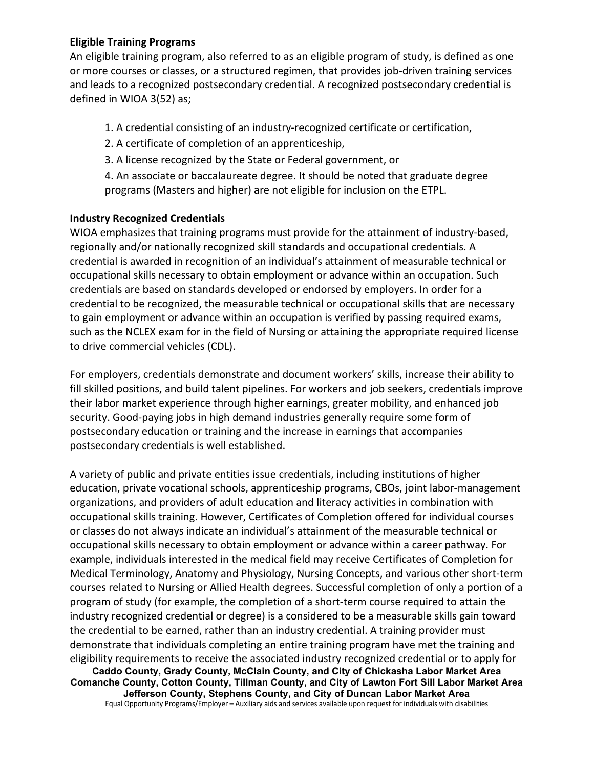#### **Eligible Training Programs**

An eligible training program, also referred to as an eligible program of study, is defined as one or more courses or classes, or a structured regimen, that provides job-driven training services and leads to a recognized postsecondary credential. A recognized postsecondary credential is defined in WIOA 3(52) as;

1. A credential consisting of an industry-recognized certificate or certification,

- 2. A certificate of completion of an apprenticeship,
- 3. A license recognized by the State or Federal government, or

4. An associate or baccalaureate degree. It should be noted that graduate degree programs (Masters and higher) are not eligible for inclusion on the ETPL.

#### **Industry Recognized Credentials**

WIOA emphasizes that training programs must provide for the attainment of industry-based, regionally and/or nationally recognized skill standards and occupational credentials. A credential is awarded in recognition of an individual's attainment of measurable technical or occupational skills necessary to obtain employment or advance within an occupation. Such credentials are based on standards developed or endorsed by employers. In order for a credential to be recognized, the measurable technical or occupational skills that are necessary to gain employment or advance within an occupation is verified by passing required exams, such as the NCLEX exam for in the field of Nursing or attaining the appropriate required license to drive commercial vehicles (CDL).

For employers, credentials demonstrate and document workers' skills, increase their ability to fill skilled positions, and build talent pipelines. For workers and job seekers, credentials improve their labor market experience through higher earnings, greater mobility, and enhanced job security. Good-paying jobs in high demand industries generally require some form of postsecondary education or training and the increase in earnings that accompanies postsecondary credentials is well established.

A variety of public and private entities issue credentials, including institutions of higher education, private vocational schools, apprenticeship programs, CBOs, joint labor-management organizations, and providers of adult education and literacy activities in combination with occupational skills training. However, Certificates of Completion offered for individual courses or classes do not always indicate an individual's attainment of the measurable technical or occupational skills necessary to obtain employment or advance within a career pathway. For example, individuals interested in the medical field may receive Certificates of Completion for Medical Terminology, Anatomy and Physiology, Nursing Concepts, and various other short-term courses related to Nursing or Allied Health degrees. Successful completion of only a portion of a program of study (for example, the completion of a short-term course required to attain the industry recognized credential or degree) is a considered to be a measurable skills gain toward the credential to be earned, rather than an industry credential. A training provider must demonstrate that individuals completing an entire training program have met the training and eligibility requirements to receive the associated industry recognized credential or to apply for

**Caddo County, Grady County, McClain County, and City of Chickasha Labor Market Area Comanche County, Cotton County, Tillman County, and City of Lawton Fort Sill Labor Market Area Jefferson County, Stephens County, and City of Duncan Labor Market Area**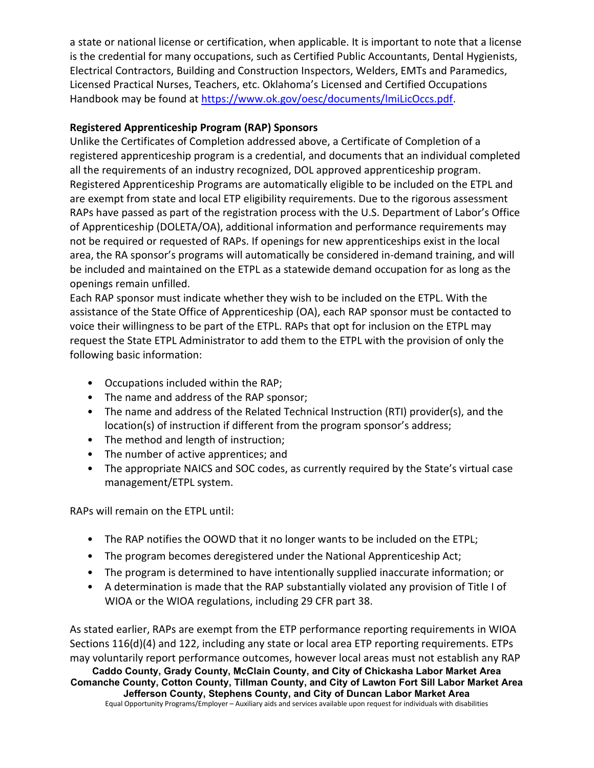a state or national license or certification, when applicable. It is important to note that a license is the credential for many occupations, such as Certified Public Accountants, Dental Hygienists, Electrical Contractors, Building and Construction Inspectors, Welders, EMTs and Paramedics, Licensed Practical Nurses, Teachers, etc. Oklahoma's Licensed and Certified Occupations Handbook may be found at [https://www.ok.gov/oesc/documents/lmiLicOccs.pdf.](https://www.ok.gov/oesc/documents/lmiLicOccs.pdf)

# **Registered Apprenticeship Program (RAP) Sponsors**

Unlike the Certificates of Completion addressed above, a Certificate of Completion of a registered apprenticeship program is a credential, and documents that an individual completed all the requirements of an industry recognized, DOL approved apprenticeship program. Registered Apprenticeship Programs are automatically eligible to be included on the ETPL and are exempt from state and local ETP eligibility requirements. Due to the rigorous assessment RAPs have passed as part of the registration process with the U.S. Department of Labor's Office of Apprenticeship (DOLETA/OA), additional information and performance requirements may not be required or requested of RAPs. If openings for new apprenticeships exist in the local area, the RA sponsor's programs will automatically be considered in-demand training, and will be included and maintained on the ETPL as a statewide demand occupation for as long as the openings remain unfilled.

Each RAP sponsor must indicate whether they wish to be included on the ETPL. With the assistance of the State Office of Apprenticeship (OA), each RAP sponsor must be contacted to voice their willingness to be part of the ETPL. RAPs that opt for inclusion on the ETPL may request the State ETPL Administrator to add them to the ETPL with the provision of only the following basic information:

- Occupations included within the RAP;
- The name and address of the RAP sponsor;
- The name and address of the Related Technical Instruction (RTI) provider(s), and the location(s) of instruction if different from the program sponsor's address;
- The method and length of instruction;
- The number of active apprentices; and
- The appropriate NAICS and SOC codes, as currently required by the State's virtual case management/ETPL system.

RAPs will remain on the ETPL until:

- The RAP notifies the OOWD that it no longer wants to be included on the ETPL;
- The program becomes deregistered under the National Apprenticeship Act;
- The program is determined to have intentionally supplied inaccurate information; or
- A determination is made that the RAP substantially violated any provision of Title I of WIOA or the WIOA regulations, including 29 CFR part 38.

**Caddo County, Grady County, McClain County, and City of Chickasha Labor Market Area Comanche County, Cotton County, Tillman County, and City of Lawton Fort Sill Labor Market Area Jefferson County, Stephens County, and City of Duncan Labor Market Area** As stated earlier, RAPs are exempt from the ETP performance reporting requirements in WIOA Sections 116(d)(4) and 122, including any state or local area ETP reporting requirements. ETPs may voluntarily report performance outcomes, however local areas must not establish any RAP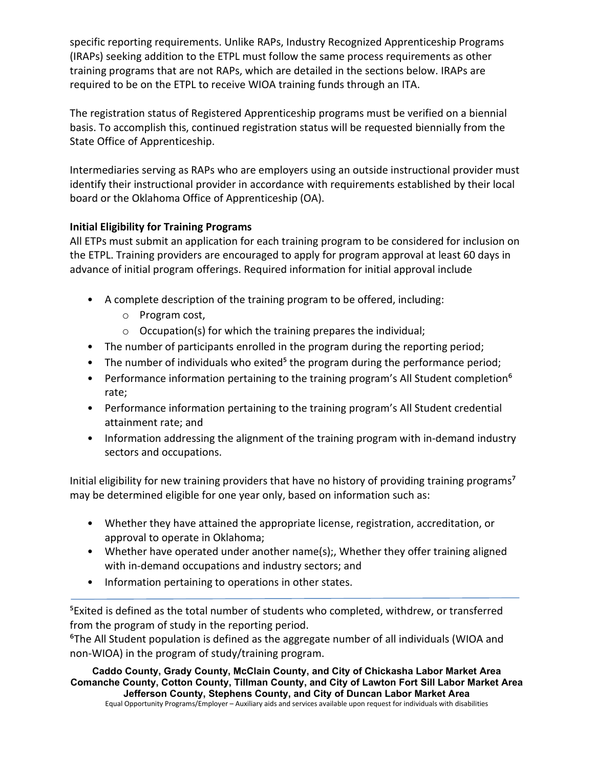specific reporting requirements. Unlike RAPs, Industry Recognized Apprenticeship Programs (IRAPs) seeking addition to the ETPL must follow the same process requirements as other training programs that are not RAPs, which are detailed in the sections below. IRAPs are required to be on the ETPL to receive WIOA training funds through an ITA.

The registration status of Registered Apprenticeship programs must be verified on a biennial basis. To accomplish this, continued registration status will be requested biennially from the State Office of Apprenticeship.

Intermediaries serving as RAPs who are employers using an outside instructional provider must identify their instructional provider in accordance with requirements established by their local board or the Oklahoma Office of Apprenticeship (OA).

# **Initial Eligibility for Training Programs**

All ETPs must submit an application for each training program to be considered for inclusion on the ETPL. Training providers are encouraged to apply for program approval at least 60 days in advance of initial program offerings. Required information for initial approval include

- A complete description of the training program to be offered, including:
	- o Program cost,
	- o Occupation(s) for which the training prepares the individual;
- The number of participants enrolled in the program during the reporting period;
- The number of individuals who exited<sup>5</sup> the program during the performance period;
- Performance information pertaining to the training program's All Student completion<sup>6</sup> rate;
- Performance information pertaining to the training program's All Student credential attainment rate; and
- Information addressing the alignment of the training program with in-demand industry sectors and occupations.

Initial eligibility for new training providers that have no history of providing training programs<sup>7</sup> may be determined eligible for one year only, based on information such as:

- Whether they have attained the appropriate license, registration, accreditation, or approval to operate in Oklahoma;
- Whether have operated under another name(s);, Whether they offer training aligned with in-demand occupations and industry sectors; and
- Information pertaining to operations in other states.

<sup>5</sup>Exited is defined as the total number of students who completed, withdrew, or transferred from the program of study in the reporting period.

⁶The All Student population is defined as the aggregate number of all individuals (WIOA and non-WIOA) in the program of study/training program.

**Caddo County, Grady County, McClain County, and City of Chickasha Labor Market Area Comanche County, Cotton County, Tillman County, and City of Lawton Fort Sill Labor Market Area Jefferson County, Stephens County, and City of Duncan Labor Market Area**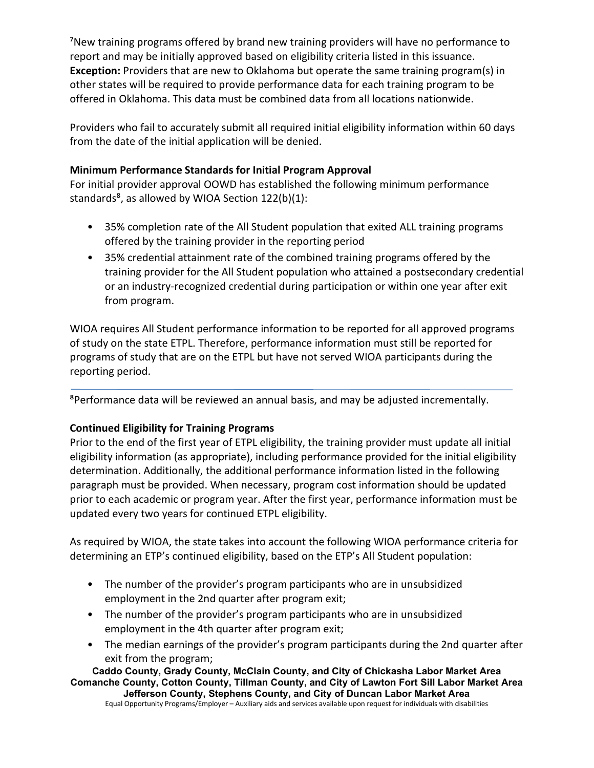<sup>7</sup>New training programs offered by brand new training providers will have no performance to report and may be initially approved based on eligibility criteria listed in this issuance. **Exception:** Providers that are new to Oklahoma but operate the same training program(s) in other states will be required to provide performance data for each training program to be offered in Oklahoma. This data must be combined data from all locations nationwide.

Providers who fail to accurately submit all required initial eligibility information within 60 days from the date of the initial application will be denied.

# **Minimum Performance Standards for Initial Program Approval**

For initial provider approval OOWD has established the following minimum performance standards $a$ , as allowed by WIOA Section 122(b)(1):

- 35% completion rate of the All Student population that exited ALL training programs offered by the training provider in the reporting period
- 35% credential attainment rate of the combined training programs offered by the training provider for the All Student population who attained a postsecondary credential or an industry-recognized credential during participation or within one year after exit from program.

WIOA requires All Student performance information to be reported for all approved programs of study on the state ETPL. Therefore, performance information must still be reported for programs of study that are on the ETPL but have not served WIOA participants during the reporting period.

⁸Performance data will be reviewed an annual basis, and may be adjusted incrementally.

# **Continued Eligibility for Training Programs**

Prior to the end of the first year of ETPL eligibility, the training provider must update all initial eligibility information (as appropriate), including performance provided for the initial eligibility determination. Additionally, the additional performance information listed in the following paragraph must be provided. When necessary, program cost information should be updated prior to each academic or program year. After the first year, performance information must be updated every two years for continued ETPL eligibility.

As required by WIOA, the state takes into account the following WIOA performance criteria for determining an ETP's continued eligibility, based on the ETP's All Student population:

- The number of the provider's program participants who are in unsubsidized employment in the 2nd quarter after program exit;
- The number of the provider's program participants who are in unsubsidized employment in the 4th quarter after program exit;
- The median earnings of the provider's program participants during the 2nd quarter after exit from the program;

**Caddo County, Grady County, McClain County, and City of Chickasha Labor Market Area Comanche County, Cotton County, Tillman County, and City of Lawton Fort Sill Labor Market Area**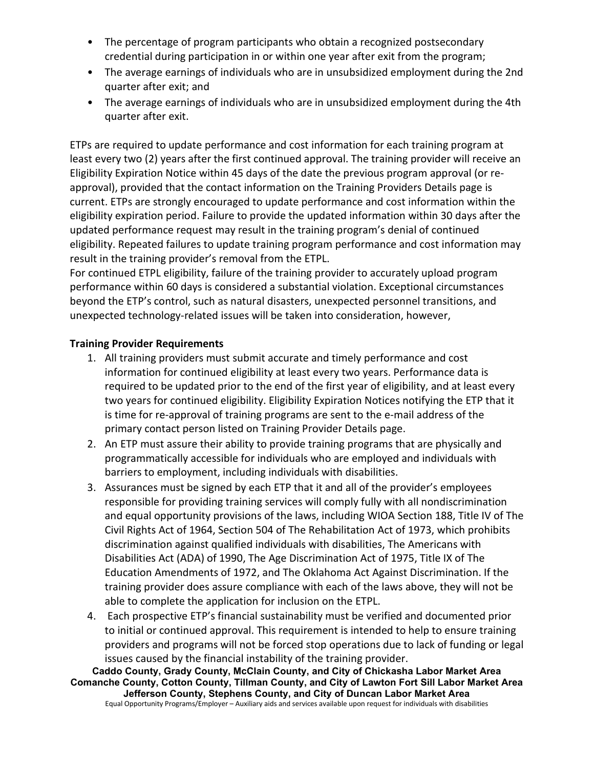- The percentage of program participants who obtain a recognized postsecondary credential during participation in or within one year after exit from the program;
- The average earnings of individuals who are in unsubsidized employment during the 2nd quarter after exit; and
- The average earnings of individuals who are in unsubsidized employment during the 4th quarter after exit.

ETPs are required to update performance and cost information for each training program at least every two (2) years after the first continued approval. The training provider will receive an Eligibility Expiration Notice within 45 days of the date the previous program approval (or reapproval), provided that the contact information on the Training Providers Details page is current. ETPs are strongly encouraged to update performance and cost information within the eligibility expiration period. Failure to provide the updated information within 30 days after the updated performance request may result in the training program's denial of continued eligibility. Repeated failures to update training program performance and cost information may result in the training provider's removal from the ETPL.

For continued ETPL eligibility, failure of the training provider to accurately upload program performance within 60 days is considered a substantial violation. Exceptional circumstances beyond the ETP's control, such as natural disasters, unexpected personnel transitions, and unexpected technology-related issues will be taken into consideration, however,

### **Training Provider Requirements**

- 1. All training providers must submit accurate and timely performance and cost information for continued eligibility at least every two years. Performance data is required to be updated prior to the end of the first year of eligibility, and at least every two years for continued eligibility. Eligibility Expiration Notices notifying the ETP that it is time for re-approval of training programs are sent to the e-mail address of the primary contact person listed on Training Provider Details page.
- 2. An ETP must assure their ability to provide training programs that are physically and programmatically accessible for individuals who are employed and individuals with barriers to employment, including individuals with disabilities.
- 3. Assurances must be signed by each ETP that it and all of the provider's employees responsible for providing training services will comply fully with all nondiscrimination and equal opportunity provisions of the laws, including WIOA Section 188, Title IV of The Civil Rights Act of 1964, Section 504 of The Rehabilitation Act of 1973, which prohibits discrimination against qualified individuals with disabilities, The Americans with Disabilities Act (ADA) of 1990, The Age Discrimination Act of 1975, Title IX of The Education Amendments of 1972, and The Oklahoma Act Against Discrimination. If the training provider does assure compliance with each of the laws above, they will not be able to complete the application for inclusion on the ETPL.
- 4. Each prospective ETP's financial sustainability must be verified and documented prior to initial or continued approval. This requirement is intended to help to ensure training providers and programs will not be forced stop operations due to lack of funding or legal issues caused by the financial instability of the training provider.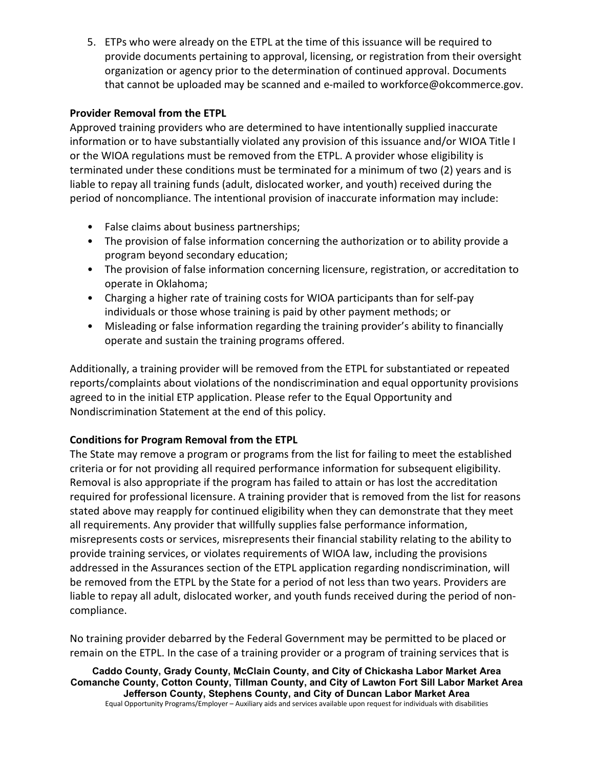5. ETPs who were already on the ETPL at the time of this issuance will be required to provide documents pertaining to approval, licensing, or registration from their oversight organization or agency prior to the determination of continued approval. Documents that cannot be uploaded may be scanned and e-mailed to workforce@okcommerce.gov.

#### **Provider Removal from the ETPL**

Approved training providers who are determined to have intentionally supplied inaccurate information or to have substantially violated any provision of this issuance and/or WIOA Title I or the WIOA regulations must be removed from the ETPL. A provider whose eligibility is terminated under these conditions must be terminated for a minimum of two (2) years and is liable to repay all training funds (adult, dislocated worker, and youth) received during the period of noncompliance. The intentional provision of inaccurate information may include:

- False claims about business partnerships;
- The provision of false information concerning the authorization or to ability provide a program beyond secondary education;
- The provision of false information concerning licensure, registration, or accreditation to operate in Oklahoma;
- Charging a higher rate of training costs for WIOA participants than for self-pay individuals or those whose training is paid by other payment methods; or
- Misleading or false information regarding the training provider's ability to financially operate and sustain the training programs offered.

Additionally, a training provider will be removed from the ETPL for substantiated or repeated reports/complaints about violations of the nondiscrimination and equal opportunity provisions agreed to in the initial ETP application. Please refer to the Equal Opportunity and Nondiscrimination Statement at the end of this policy.

### **Conditions for Program Removal from the ETPL**

The State may remove a program or programs from the list for failing to meet the established criteria or for not providing all required performance information for subsequent eligibility. Removal is also appropriate if the program has failed to attain or has lost the accreditation required for professional licensure. A training provider that is removed from the list for reasons stated above may reapply for continued eligibility when they can demonstrate that they meet all requirements. Any provider that willfully supplies false performance information, misrepresents costs or services, misrepresents their financial stability relating to the ability to provide training services, or violates requirements of WIOA law, including the provisions addressed in the Assurances section of the ETPL application regarding nondiscrimination, will be removed from the ETPL by the State for a period of not less than two years. Providers are liable to repay all adult, dislocated worker, and youth funds received during the period of noncompliance.

No training provider debarred by the Federal Government may be permitted to be placed or remain on the ETPL. In the case of a training provider or a program of training services that is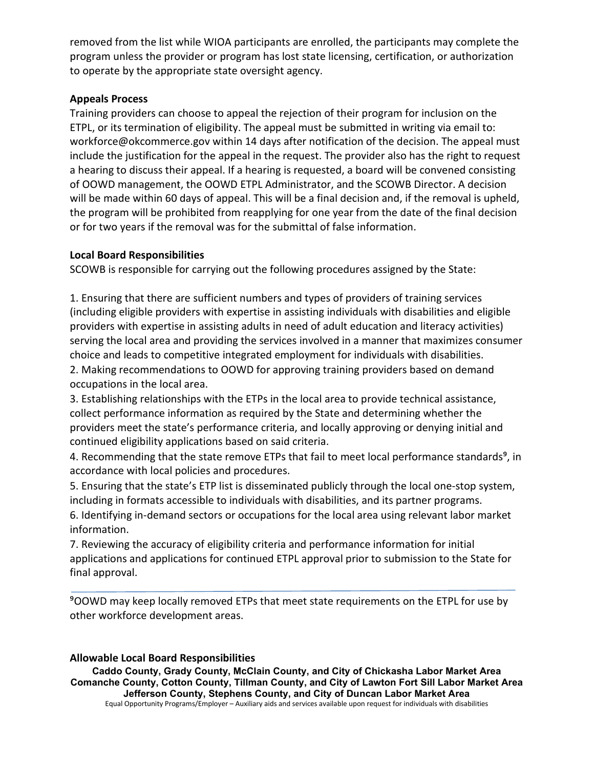removed from the list while WIOA participants are enrolled, the participants may complete the program unless the provider or program has lost state licensing, certification, or authorization to operate by the appropriate state oversight agency.

#### **Appeals Process**

Training providers can choose to appeal the rejection of their program for inclusion on the ETPL, or its termination of eligibility. The appeal must be submitted in writing via email to: workforce@okcommerce.gov within 14 days after notification of the decision. The appeal must include the justification for the appeal in the request. The provider also has the right to request a hearing to discuss their appeal. If a hearing is requested, a board will be convened consisting of OOWD management, the OOWD ETPL Administrator, and the SCOWB Director. A decision will be made within 60 days of appeal. This will be a final decision and, if the removal is upheld, the program will be prohibited from reapplying for one year from the date of the final decision or for two years if the removal was for the submittal of false information.

#### **Local Board Responsibilities**

SCOWB is responsible for carrying out the following procedures assigned by the State:

1. Ensuring that there are sufficient numbers and types of providers of training services (including eligible providers with expertise in assisting individuals with disabilities and eligible providers with expertise in assisting adults in need of adult education and literacy activities) serving the local area and providing the services involved in a manner that maximizes consumer choice and leads to competitive integrated employment for individuals with disabilities.

2. Making recommendations to OOWD for approving training providers based on demand occupations in the local area.

3. Establishing relationships with the ETPs in the local area to provide technical assistance, collect performance information as required by the State and determining whether the providers meet the state's performance criteria, and locally approving or denying initial and continued eligibility applications based on said criteria.

4. Recommending that the state remove ETPs that fail to meet local performance standards<sup>9</sup>, in accordance with local policies and procedures.

5. Ensuring that the state's ETP list is disseminated publicly through the local one-stop system, including in formats accessible to individuals with disabilities, and its partner programs.

6. Identifying in-demand sectors or occupations for the local area using relevant labor market information.

7. Reviewing the accuracy of eligibility criteria and performance information for initial applications and applications for continued ETPL approval prior to submission to the State for final approval.

⁹OOWD may keep locally removed ETPs that meet state requirements on the ETPL for use by other workforce development areas.

#### **Allowable Local Board Responsibilities**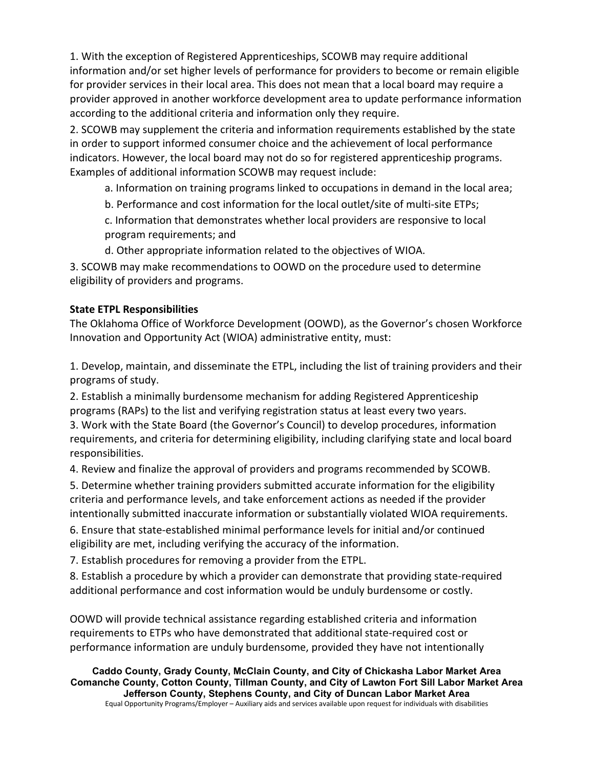1. With the exception of Registered Apprenticeships, SCOWB may require additional information and/or set higher levels of performance for providers to become or remain eligible for provider services in their local area. This does not mean that a local board may require a provider approved in another workforce development area to update performance information according to the additional criteria and information only they require.

2. SCOWB may supplement the criteria and information requirements established by the state in order to support informed consumer choice and the achievement of local performance indicators. However, the local board may not do so for registered apprenticeship programs. Examples of additional information SCOWB may request include:

a. Information on training programs linked to occupations in demand in the local area;

b. Performance and cost information for the local outlet/site of multi-site ETPs;

c. Information that demonstrates whether local providers are responsive to local program requirements; and

d. Other appropriate information related to the objectives of WIOA.

3. SCOWB may make recommendations to OOWD on the procedure used to determine eligibility of providers and programs.

### **State ETPL Responsibilities**

The Oklahoma Office of Workforce Development (OOWD), as the Governor's chosen Workforce Innovation and Opportunity Act (WIOA) administrative entity, must:

1. Develop, maintain, and disseminate the ETPL, including the list of training providers and their programs of study.

2. Establish a minimally burdensome mechanism for adding Registered Apprenticeship programs (RAPs) to the list and verifying registration status at least every two years.

3. Work with the State Board (the Governor's Council) to develop procedures, information requirements, and criteria for determining eligibility, including clarifying state and local board responsibilities.

4. Review and finalize the approval of providers and programs recommended by SCOWB.

5. Determine whether training providers submitted accurate information for the eligibility criteria and performance levels, and take enforcement actions as needed if the provider intentionally submitted inaccurate information or substantially violated WIOA requirements.

6. Ensure that state-established minimal performance levels for initial and/or continued eligibility are met, including verifying the accuracy of the information.

7. Establish procedures for removing a provider from the ETPL.

8. Establish a procedure by which a provider can demonstrate that providing state-required additional performance and cost information would be unduly burdensome or costly.

OOWD will provide technical assistance regarding established criteria and information requirements to ETPs who have demonstrated that additional state-required cost or performance information are unduly burdensome, provided they have not intentionally